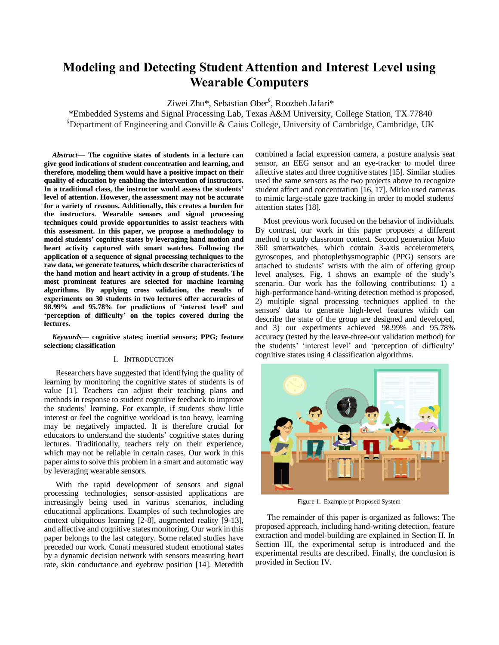# **Modeling and Detecting Student Attention and Interest Level using Wearable Computers**

Ziwei Zhu\*, Sebastian Ober§ , Roozbeh Jafari\*

\*Embedded Systems and Signal Processing Lab, Texas A&M University, College Station, TX 77840 §Department of Engineering and Gonville & Caius College, University of Cambridge, Cambridge, UK

*Abstract***— The cognitive states of students in a lecture can give good indications of student concentration and learning, and therefore, modeling them would have a positive impact on their quality of education by enabling the intervention of instructors. In a traditional class, the instructor would assess the students' level of attention. However, the assessment may not be accurate for a variety of reasons. Additionally, this creates a burden for the instructors. Wearable sensors and signal processing techniques could provide opportunities to assist teachers with this assessment. In this paper, we propose a methodology to model students' cognitive states by leveraging hand motion and heart activity captured with smart watches. Following the application of a sequence of signal processing techniques to the raw data, we generate features, which describe characteristics of the hand motion and heart activity in a group of students. The most prominent features are selected for machine learning algorithms. By applying cross validation, the results of experiments on 30 students in two lectures offer accuracies of 98.99% and 95.78% for predictions of 'interest level' and 'perception of difficulty' on the topics covered during the lectures.**

*Keywords***— cognitive states; inertial sensors; PPG; feature selection; classification**

# I. INTRODUCTION

Researchers have suggested that identifying the quality of learning by monitoring the cognitive states of students is of value [1]. Teachers can adjust their teaching plans and methods in response to student cognitive feedback to improve the students' learning. For example, if students show little interest or feel the cognitive workload is too heavy, learning may be negatively impacted. It is therefore crucial for educators to understand the students' cognitive states during lectures. Traditionally, teachers rely on their experience, which may not be reliable in certain cases. Our work in this paper aims to solve this problem in a smart and automatic way by leveraging wearable sensors.

With the rapid development of sensors and signal processing technologies, sensor-assisted applications are increasingly being used in various scenarios, including educational applications. Examples of such technologies are context ubiquitous learning [2-8], augmented reality [9-13], and affective and cognitive states monitoring. Our work in this paper belongs to the last category. Some related studies have preceded our work. Conati measured student emotional states by a dynamic decision network with sensors measuring heart rate, skin conductance and eyebrow position [14]. Meredith combined a facial expression camera, a posture analysis seat sensor, an EEG sensor and an eye-tracker to model three affective states and three cognitive states [15]. Similar studies used the same sensors as the two projects above to recognize student affect and concentration [16, 17]. Mirko used cameras to mimic large-scale gaze tracking in order to model students' attention states [18].

Most previous work focused on the behavior of individuals. By contrast, our work in this paper proposes a different method to study classroom context. Second generation Moto 360 smartwatches, which contain 3-axis accelerometers, gyroscopes, and photoplethysmographic (PPG) sensors are attached to students' wrists with the aim of offering group level analyses. Fig. 1 shows an example of the study's scenario. Our work has the following contributions: 1) a high-performance hand-writing detection method is proposed, 2) multiple signal processing techniques applied to the sensors' data to generate high-level features which can describe the state of the group are designed and developed, and 3) our experiments achieved 98.99% and 95.78% accuracy (tested by the leave-three-out validation method) for the students' 'interest level' and 'perception of difficulty' cognitive states using 4 classification algorithms.



Figure 1. Example of Proposed System

The remainder of this paper is organized as follows: The proposed approach, including hand-writing detection, feature extraction and model-building are explained in Section II. In Section III, the experimental setup is introduced and the experimental results are described. Finally, the conclusion is provided in Section IV.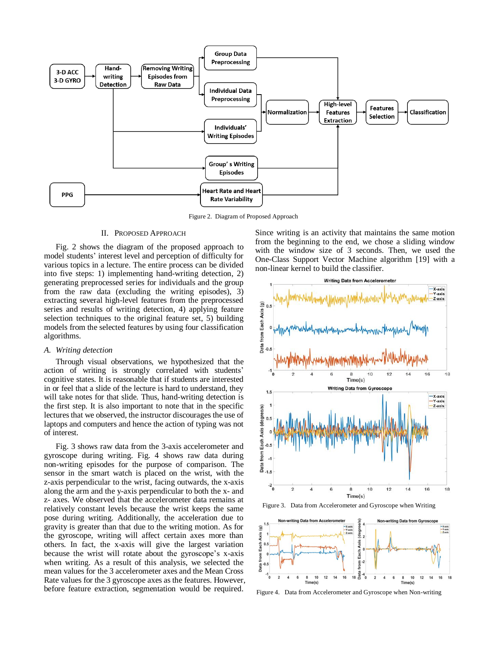

Figure 2. Diagram of Proposed Approach

# II. PROPOSED APPROACH

Fig. 2 shows the diagram of the proposed approach to model students' interest level and perception of difficulty for various topics in a lecture. The entire process can be divided into five steps: 1) implementing hand-writing detection, 2) generating preprocessed series for individuals and the group from the raw data (excluding the writing episodes), 3) extracting several high-level features from the preprocessed series and results of writing detection, 4) applying feature selection techniques to the original feature set, 5) building models from the selected features by using four classification algorithms.

## *A. Writing detection*

Through visual observations, we hypothesized that the action of writing is strongly correlated with students' cognitive states. It is reasonable that if students are interested in or feel that a slide of the lecture is hard to understand, they will take notes for that slide. Thus, hand-writing detection is the first step. It is also important to note that in the specific lectures that we observed, the instructor discourages the use of laptops and computers and hence the action of typing was not of interest.

Fig. 3 shows raw data from the 3-axis accelerometer and gyroscope during writing. Fig. 4 shows raw data during non-writing episodes for the purpose of comparison. The sensor in the smart watch is placed on the wrist, with the z-axis perpendicular to the wrist, facing outwards, the x-axis along the arm and the y-axis perpendicular to both the x- and z- axes. We observed that the accelerometer data remains at relatively constant levels because the wrist keeps the same pose during writing. Additionally, the acceleration due to gravity is greater than that due to the writing motion. As for the gyroscope, writing will affect certain axes more than others. In fact, the x-axis will give the largest variation because the wrist will rotate about the gyroscope's x-axis when writing. As a result of this analysis, we selected the mean values for the 3 accelerometer axes and the Mean Cross Rate values for the 3 gyroscope axes as the features. However, before feature extraction, segmentation would be required.

Since writing is an activity that maintains the same motion from the beginning to the end, we chose a sliding window with the window size of 3 seconds. Then, we used the One-Class Support Vector Machine algorithm [19] with a non-linear kernel to build the classifier.







Figure 4. Data from Accelerometer and Gyroscope when Non-writing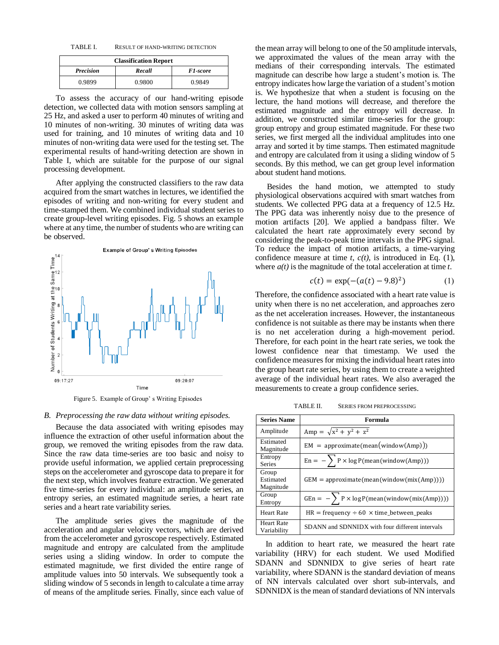TABLE I. RESULT OF HAND-WRITING DETECTION

| <b>Classification Report</b> |        |                 |  |
|------------------------------|--------|-----------------|--|
| <b>Precision</b>             | Recall | <b>F1-score</b> |  |
| 0.9899                       | 0.9800 | 0.9849          |  |

To assess the accuracy of our hand-writing episode detection, we collected data with motion sensors sampling at 25 Hz, and asked a user to perform 40 minutes of writing and 10 minutes of non-writing. 30 minutes of writing data was used for training, and 10 minutes of writing data and 10 minutes of non-writing data were used for the testing set. The experimental results of hand-writing detection are shown in Table I, which are suitable for the purpose of our signal processing development.

After applying the constructed classifiers to the raw data acquired from the smart watches in lectures, we identified the episodes of writing and non-writing for every student and time-stamped them. We combined individual student series to create group-level writing episodes. Fig. 5 shows an example where at any time, the number of students who are writing can be observed.



Figure 5. Example of Group' s Writing Episodes

#### *B. Preprocessing the raw data without writing episodes.*

Because the data associated with writing episodes may influence the extraction of other useful information about the group, we removed the writing episodes from the raw data. Since the raw data time-series are too basic and noisy to provide useful information, we applied certain preprocessing steps on the accelerometer and gyroscope data to prepare it for the next step, which involves feature extraction. We generated five time-series for every individual: an amplitude series, an entropy series, an estimated magnitude series, a heart rate series and a heart rate variability series.

The amplitude series gives the magnitude of the acceleration and angular velocity vectors, which are derived from the accelerometer and gyroscope respectively. Estimated magnitude and entropy are calculated from the amplitude series using a sliding window. In order to compute the estimated magnitude, we first divided the entire range of amplitude values into 50 intervals. We subsequently took a sliding window of 5 seconds in length to calculate a time array of means of the amplitude series. Finally, since each value of the mean array will belong to one of the 50 amplitude intervals, we approximated the values of the mean array with the medians of their corresponding intervals. The estimated magnitude can describe how large a student's motion is. The entropy indicates how large the variation of a student's motion is. We hypothesize that when a student is focusing on the lecture, the hand motions will decrease, and therefore the estimated magnitude and the entropy will decrease. In addition, we constructed similar time-series for the group: group entropy and group estimated magnitude. For these two series, we first merged all the individual amplitudes into one array and sorted it by time stamps. Then estimated magnitude and entropy are calculated from it using a sliding window of 5 seconds. By this method, we can get group level information about student hand motions.

Besides the hand motion, we attempted to study physiological observations acquired with smart watches from students. We collected PPG data at a frequency of 12.5 Hz. The PPG data was inherently noisy due to the presence of motion artifacts [20]. We applied a bandpass filter. We calculated the heart rate approximately every second by considering the peak-to-peak time intervals in the PPG signal. To reduce the impact of motion artifacts, a time-varying confidence measure at time *t*, *c(t)*, is introduced in Eq. (1), where *a(t)* is the magnitude of the total acceleration at time *t*.

$$
c(t) = \exp(-(a(t) - 9.8)^2)
$$
 (1)

Therefore, the confidence associated with a heart rate value is unity when there is no net acceleration, and approaches zero as the net acceleration increases. However, the instantaneous confidence is not suitable as there may be instants when there is no net acceleration during a high-movement period. Therefore, for each point in the heart rate series, we took the lowest confidence near that timestamp. We used the confidence measures for mixing the individual heart rates into the group heart rate series, by using them to create a weighted average of the individual heart rates. We also averaged the measurements to create a group confidence series.

TABLE II. SERIES FROM PREPROCESSING

| <b>Series Name</b>               | Formula                                                                    |
|----------------------------------|----------------------------------------------------------------------------|
| Amplitude                        | Amp = $\sqrt{x^2 + y^2 + z^2}$                                             |
| Estimated<br>Magnitude           | $EM = approximate(mean(window(Amp)))$                                      |
| Entropy<br><b>Series</b>         | En = $-\sum P \times \log P(\text{mean}(\text{window(Amp)}))$              |
| Group<br>Estimated<br>Magnitude  | $GEM = approximate(mean(window(mix(Amp))))$                                |
| Group<br>Entropy                 | GEn = $-\sum P \times \log P(\text{mean}(\text{window}(\text{mix}(Amp))))$ |
| <b>Heart Rate</b>                | $HR = frequency \div 60 \times time_{between_{}peaks}$                     |
| <b>Heart Rate</b><br>Variability | SDANN and SDNNIDX with four different intervals                            |

In addition to heart rate, we measured the heart rate variability (HRV) for each student. We used Modified SDANN and SDNNIDX to give series of heart rate variability, where SDANN is the standard deviation of means of NN intervals calculated over short sub-intervals, and SDNNIDX is the mean of standard deviations of NN intervals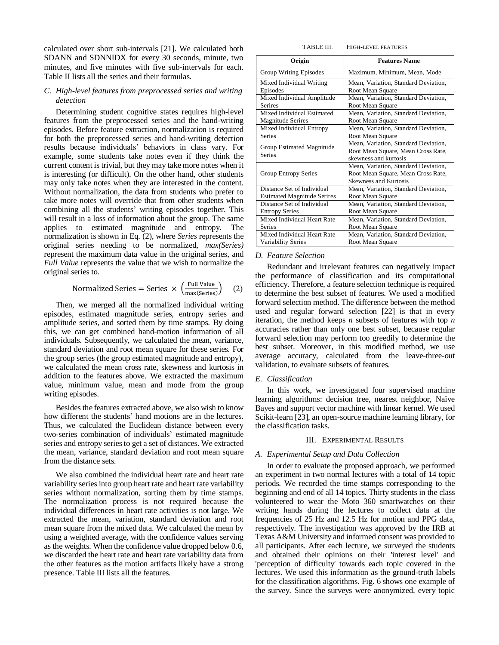calculated over short sub-intervals [21]. We calculated both SDANN and SDNNIDX for every 30 seconds, minute, two minutes, and five minutes with five sub-intervals for each. Table II lists all the series and their formulas.

# *C. High-level features from preprocessed series and writing detection*

Determining student cognitive states requires high-level features from the preprocessed series and the hand-writing episodes. Before feature extraction, normalization is required for both the preprocessed series and hand-writing detection results because individuals' behaviors in class vary. For example, some students take notes even if they think the current content is trivial, but they may take more notes when it is interesting (or difficult). On the other hand, other students may only take notes when they are interested in the content. Without normalization, the data from students who prefer to take more notes will override that from other students when combining all the students' writing episodes together. This will result in a loss of information about the group. The same applies to estimated magnitude and entropy. The normalization is shown in Eq. (2), where *Series* represents the original series needing to be normalized, *max(Series)* represent the maximum data value in the original series, and *Full Value* represents the value that we wish to normalize the original series to.

$$
Normalized Series = Series \times \left(\frac{Full Value}{max(Series)}\right) \quad (2)
$$

Then, we merged all the normalized individual writing episodes, estimated magnitude series, entropy series and amplitude series, and sorted them by time stamps. By doing this, we can get combined hand-motion information of all individuals. Subsequently, we calculated the mean, variance, standard deviation and root mean square for these series. For the group series (the group estimated magnitude and entropy), we calculated the mean cross rate, skewness and kurtosis in addition to the features above. We extracted the maximum value, minimum value, mean and mode from the group writing episodes.

Besides the features extracted above, we also wish to know how different the students' hand motions are in the lectures. Thus, we calculated the Euclidean distance between every two-series combination of individuals' estimated magnitude series and entropy series to get a set of distances. We extracted the mean, variance, standard deviation and root mean square from the distance sets.

We also combined the individual heart rate and heart rate variability series into group heart rate and heart rate variability series without normalization, sorting them by time stamps. The normalization process is not required because the individual differences in heart rate activities is not large. We extracted the mean, variation, standard deviation and root mean square from the mixed data. We calculated the mean by using a weighted average, with the confidence values serving as the weights. When the confidence value dropped below 0.6, we discarded the heart rate and heart rate variability data from the other features as the motion artifacts likely have a strong presence. Table III lists all the features.

| TABLE III. | <b>HIGH-LEVEL FEATURES</b> |
|------------|----------------------------|
|------------|----------------------------|

| Origin                             | <b>Features Name</b>                 |
|------------------------------------|--------------------------------------|
| Group Writing Episodes             | Maximum, Minimum, Mean, Mode         |
| Mixed Individual Writing           | Mean, Variation, Standard Deviation, |
| Episodes                           | Root Mean Square                     |
| Mixed Individual Amplitude         | Mean, Variation, Standard Deviation, |
| <b>Serires</b>                     | Root Mean Square                     |
| Mixed Individual Estimated         | Mean, Variation, Standard Deviation, |
| <b>Magnitude Serires</b>           | Root Mean Square                     |
| Mixed Individual Entropy           | Mean, Variation, Standard Deviation, |
| <b>Series</b>                      | Root Mean Square                     |
| Group Estimated Magnitude          | Mean, Variation, Standard Deviation, |
| <b>Series</b>                      | Root Mean Square, Mean Cross Rate,   |
|                                    | skewness and kurtosis                |
|                                    | Mean, Variation, Standard Deviation, |
| Group Entropy Series               | Root Mean Square, Mean Cross Rate,   |
|                                    | <b>Skewness and Kurtosis</b>         |
| Distance Set of Individual         | Mean, Variation, Standard Deviation, |
| <b>Estimated Magnitude Serires</b> | Root Mean Square                     |
| Distance Set of Individual         | Mean, Variation, Standard Deviation, |
| <b>Entropy Series</b>              | Root Mean Square                     |
| Mixed Individual Heart Rate        | Mean, Variation, Standard Deviation, |
| <b>Series</b>                      | Root Mean Square                     |
| Mixed Individual Heart Rate        | Mean, Variation, Standard Deviation, |
| <b>Variability Series</b>          | Root Mean Square                     |

# *D. Feature Selection*

Redundant and irrelevant features can negatively impact the performance of classification and its computational efficiency. Therefore, a feature selection technique is required to determine the best subset of features. We used a modified forward selection method. The difference between the method used and regular forward selection [22] is that in every iteration, the method keeps *n* subsets of features with top *n* accuracies rather than only one best subset, because regular forward selection may perform too greedily to determine the best subset. Moreover, in this modified method, we use average accuracy, calculated from the leave-three-out validation, to evaluate subsets of features.

#### *E. Classification*

In this work, we investigated four supervised machine learning algorithms: decision tree, nearest neighbor, Naïve Bayes and support vector machine with linear kernel. We used Scikit-learn [23], an open-source machine learning library, for the classification tasks.

#### III. EXPERIMENTAL RESULTS

#### *A. Experimental Setup and Data Collection*

In order to evaluate the proposed approach, we performed an experiment in two normal lectures with a total of 14 topic periods. We recorded the time stamps corresponding to the beginning and end of all 14 topics. Thirty students in the class volunteered to wear the Moto 360 smartwatches on their writing hands during the lectures to collect data at the frequencies of 25 Hz and 12.5 Hz for motion and PPG data, respectively. The investigation was approved by the IRB at Texas A&M University and informed consent was provided to all participants. After each lecture, we surveyed the students and obtained their opinions on their 'interest level' and 'perception of difficulty' towards each topic covered in the lectures. We used this information as the ground-truth labels for the classification algorithms. Fig. 6 shows one example of the survey. Since the surveys were anonymized, every topic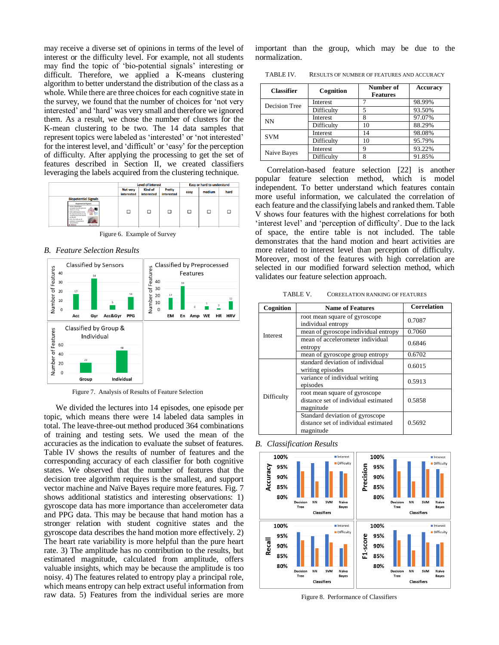may receive a diverse set of opinions in terms of the level of interest or the difficulty level. For example, not all students may find the topic of 'bio-potential signals' interesting or difficult. Therefore, we applied a K-means clustering algorithm to better understand the distribution of the class as a whole. While there are three choices for each cognitive state in the survey, we found that the number of choices for 'not very interested' and 'hard' was very small and therefore we ignored them. As a result, we chose the number of clusters for the K-mean clustering to be two. The 14 data samples that represent topics were labeled as 'interested' or 'not interested' for the interest level, and 'difficult' or 'easy' for the perception of difficulty. After applying the processing to get the set of features described in Section II, we created classifiers leveraging the labels acquired from the clustering technique.

|                                                                                                                                                                                                                                                                                | <b>Level of interest</b>      |                       | <b>Easy or hard to understand</b> |      |        |      |
|--------------------------------------------------------------------------------------------------------------------------------------------------------------------------------------------------------------------------------------------------------------------------------|-------------------------------|-----------------------|-----------------------------------|------|--------|------|
|                                                                                                                                                                                                                                                                                | <b>Not very</b><br>interested | Kind of<br>interested | Pretty<br>interested              | easy | medium | hard |
| <b>Biopotential Signals</b><br><b>Biopotential Signals</b><br>Verlaus physiological<br>interests not a left generate<br>chanical activity<br>ca the site<br>ECO, EEG, EMG are all<br>examples of biogetantial<br>measurements<br><b><i>Up   pleasures</i></b><br>de Thint out. |                               |                       |                                   |      | П      | □    |

Figure 6. Example of Survey

*B. Feature Selection Results*



Figure 7. Analysis of Results of Feature Selection

We divided the lectures into 14 episodes, one episode per topic, which means there were 14 labeled data samples in total. The leave-three-out method produced 364 combinations of training and testing sets. We used the mean of the accuracies as the indication to evaluate the subset of features. Table IV shows the results of number of features and the corresponding accuracy of each classifier for both cognitive states. We observed that the number of features that the decision tree algorithm requires is the smallest, and support vector machine and Naïve Bayes require more features. Fig. 7 shows additional statistics and interesting observations: 1) gyroscope data has more importance than accelerometer data and PPG data. This may be because that hand motion has a stronger relation with student cognitive states and the gyroscope data describes the hand motion more effectively. 2) The heart rate variability is more helpful than the pure heart rate. 3) The amplitude has no contribution to the results, but estimated magnitude, calculated from amplitude, offers valuable insights, which may be because the amplitude is too noisy. 4) The features related to entropy play a principal role, which means entropy can help extract useful information from raw data. 5) Features from the individual series are more important than the group, which may be due to the normalization.

TABLE IV. RESULTS OF NUMBER OF FEATURES AND ACCURACY

| <b>Classifier</b>    | Cognition       | Number of<br><b>Features</b> | <b>Accuracy</b> |
|----------------------|-----------------|------------------------------|-----------------|
| <b>Decision Tree</b> | Interest        |                              | 98.99%          |
|                      | Difficulty      |                              | 93.50%          |
| <b>NN</b>            | Interest        |                              | 97.07%          |
|                      | Difficulty      | 10                           | 88.29%          |
| <b>SVM</b>           | <b>Interest</b> | 14                           | 98.08%          |
|                      | Difficulty      | 10                           | 95.79%          |
| Naive Bayes          | Interest        | Q                            | 93.22%          |
|                      | Difficulty      | o                            | 91.85%          |

Correlation-based feature selection [22] is another popular feature selection method, which is model independent. To better understand which features contain more useful information, we calculated the correlation of each feature and the classifying labels and ranked them. Table V shows four features with the highest correlations for both 'interest level' and 'perception of difficulty'. Due to the lack of space, the entire table is not included. The table demonstrates that the hand motion and heart activities are more related to interest level than perception of difficulty. Moreover, most of the features with high correlation are selected in our modified forward selection method, which validates our feature selection approach.

TABLE V. COREELATION RANKING OF FEATURES

| Cognition  | <b>Name of Features</b>                                                              | <b>Correlation</b> |
|------------|--------------------------------------------------------------------------------------|--------------------|
|            | root mean square of gyroscope<br>individual entropy                                  | 0.7087             |
| Interest   | mean of gyroscope individual entropy                                                 | 0.7060             |
|            | mean of accelerometer individual<br>entropy                                          | 0.6846             |
|            | mean of gyroscope group entropy                                                      | 0.6702             |
| Difficulty | standard deviation of individual<br>writing episodes                                 | 0.6015             |
|            | variance of individual writing<br>episodes                                           | 0.5913             |
|            | root mean square of gyroscope<br>distance set of individual estimated<br>magnitude   | 0.5858             |
|            | Standard deviation of gyroscope<br>distance set of individual estimated<br>magnitude | 0.5692             |

*B. Classification Results*



Figure 8. Performance of Classifiers